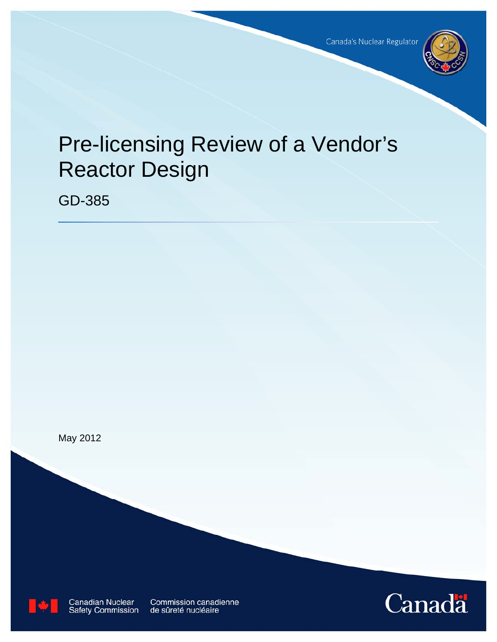

# Pre-licensing Review of a Vendor's Reactor Design

GD-385





**Canadian Nuclear Safety Commission** 

Commission canadienne de sûreté nucléaire

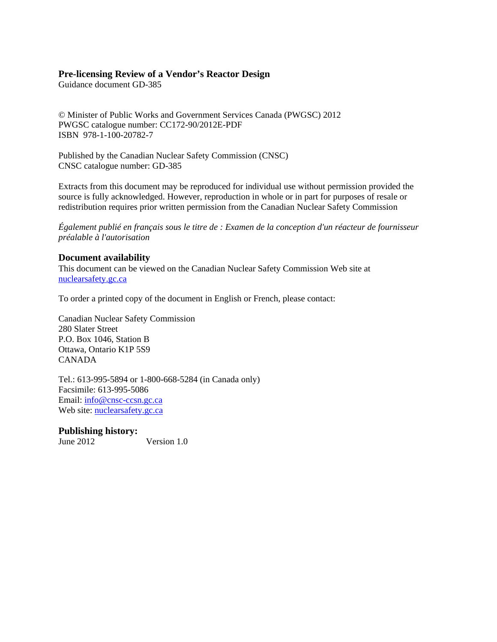## **Pre-licensing Review of a Vendor's Reactor Design**

Guidance document GD-385

© Minister of Public Works and Government Services Canada (PWGSC) 2012 PWGSC catalogue number: CC172-90/2012E-PDF ISBN 978-1-100-20782-7

Published by the Canadian Nuclear Safety Commission (CNSC) CNSC catalogue number: GD-385

Extracts from this document may be reproduced for individual use without permission provided the source is fully acknowledged. However, reproduction in whole or in part for purposes of resale or redistribution requires prior written permission from the Canadian Nuclear Safety Commission

*Également publié en français sous le titre de : Examen de la conception d'un réacteur de fournisseur préalable à l'autorisation* 

## **Document availability**

This document can be viewed on the Canadian Nuclear Safety Commission Web site at nuclearsafety.gc.ca

To order a printed copy of the document in English or French, please contact:

Canadian Nuclear Safety Commission 280 Slater Street P.O. Box 1046, Station B Ottawa, Ontario K1P 5S9 CANADA

Tel.: 613-995-5894 or 1-800-668-5284 (in Canada only) Facsimile: 613-995-5086 Email: info@cnsc-ccsn.gc.ca Web site: nuclearsafety.gc.ca

# **Publishing history:**

June 2012 Version 1.0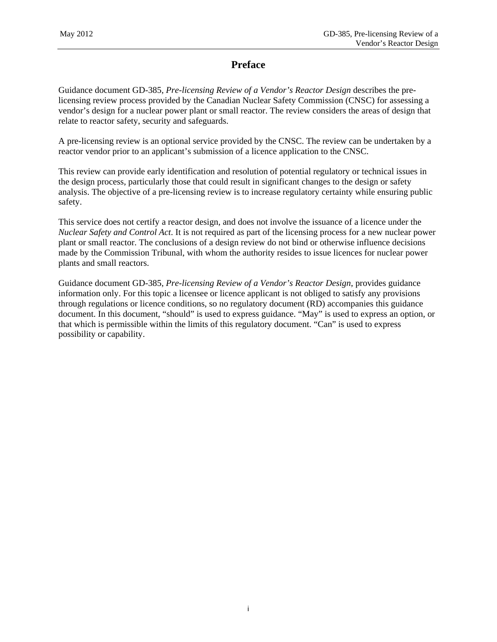# **Preface**

Guidance document GD-385, *Pre-licensing Review of a Vendor's Reactor Design* describes the prelicensing review process provided by the Canadian Nuclear Safety Commission (CNSC) for assessing a vendor's design for a nuclear power plant or small reactor. The review considers the areas of design that relate to reactor safety, security and safeguards.

A pre-licensing review is an optional service provided by the CNSC. The review can be undertaken by a reactor vendor prior to an applicant's submission of a licence application to the CNSC.

This review can provide early identification and resolution of potential regulatory or technical issues in the design process, particularly those that could result in significant changes to the design or safety analysis. The objective of a pre-licensing review is to increase regulatory certainty while ensuring public safety.

This service does not certify a reactor design, and does not involve the issuance of a licence under the *Nuclear Safety and Control Act*. It is not required as part of the licensing process for a new nuclear power plant or small reactor. The conclusions of a design review do not bind or otherwise influence decisions made by the Commission Tribunal, with whom the authority resides to issue licences for nuclear power plants and small reactors.

Guidance document GD-385, *Pre-licensing Review of a Vendor's Reactor Design*, provides guidance information only. For this topic a licensee or licence applicant is not obliged to satisfy any provisions through regulations or licence conditions, so no regulatory document (RD) accompanies this guidance document. In this document, "should" is used to express guidance. "May" is used to express an option, or that which is permissible within the limits of this regulatory document. "Can" is used to express possibility or capability.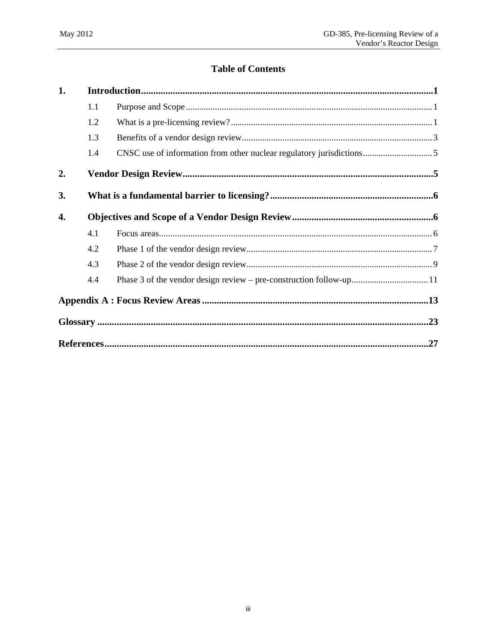# **Table of Contents**

| 1. |     |  |
|----|-----|--|
|    | 1.1 |  |
|    | 1.2 |  |
|    | 1.3 |  |
|    | 1.4 |  |
| 2. |     |  |
| 3. |     |  |
| 4. |     |  |
|    | 4.1 |  |
|    | 4.2 |  |
|    | 4.3 |  |
|    | 4.4 |  |
|    |     |  |
|    |     |  |
|    |     |  |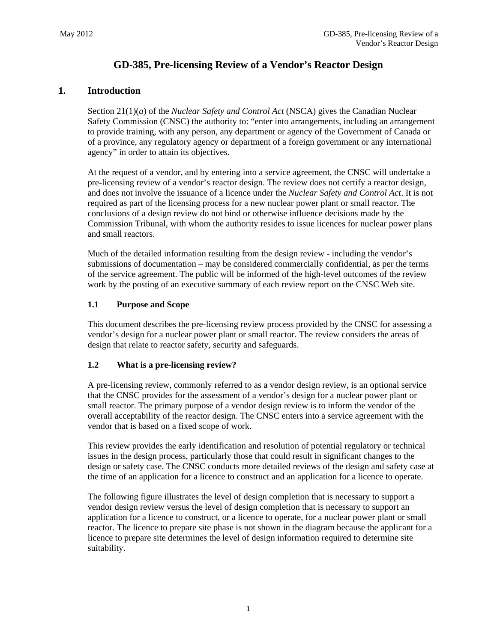# **GD-385, Pre-licensing Review of a Vendor's Reactor Design**

## **1. Introduction**

Section 21(1)(*a*) of the *Nuclear Safety and Control Act* (NSCA) gives the Canadian Nuclear Safety Commission (CNSC) the authority to: "enter into arrangements, including an arrangement to provide training, with any person, any department or agency of the Government of Canada or of a province, any regulatory agency or department of a foreign government or any international agency" in order to attain its objectives.

At the request of a vendor, and by entering into a service agreement, the CNSC will undertake a pre-licensing review of a vendor's reactor design. The review does not certify a reactor design, and does not involve the issuance of a licence under the *Nuclear Safety and Control Act*. It is not required as part of the licensing process for a new nuclear power plant or small reactor. The conclusions of a design review do not bind or otherwise influence decisions made by the Commission Tribunal, with whom the authority resides to issue licences for nuclear power plans and small reactors.

Much of the detailed information resulting from the design review - including the vendor's submissions of documentation – may be considered commercially confidential, as per the terms of the service agreement. The public will be informed of the high-level outcomes of the review work by the posting of an executive summary of each review report on the CNSC Web site.

## **1.1 Purpose and Scope**

This document describes the pre-licensing review process provided by the CNSC for assessing a vendor's design for a nuclear power plant or small reactor. The review considers the areas of design that relate to reactor safety, security and safeguards.

## **1.2 What is a pre-licensing review?**

A pre-licensing review, commonly referred to as a vendor design review, is an optional service that the CNSC provides for the assessment of a vendor's design for a nuclear power plant or small reactor. The primary purpose of a vendor design review is to inform the vendor of the overall acceptability of the reactor design. The CNSC enters into a service agreement with the vendor that is based on a fixed scope of work.

This review provides the early identification and resolution of potential regulatory or technical issues in the design process, particularly those that could result in significant changes to the design or safety case. The CNSC conducts more detailed reviews of the design and safety case at the time of an application for a licence to construct and an application for a licence to operate.

The following figure illustrates the level of design completion that is necessary to support a vendor design review versus the level of design completion that is necessary to support an application for a licence to construct, or a licence to operate, for a nuclear power plant or small reactor. The licence to prepare site phase is not shown in the diagram because the applicant for a licence to prepare site determines the level of design information required to determine site suitability.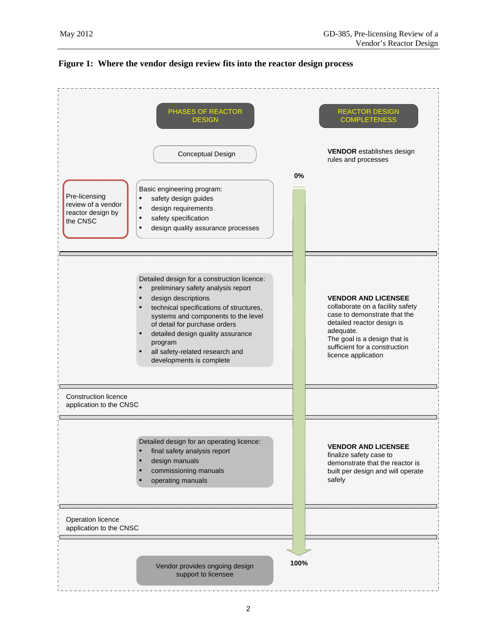

#### **Figure 1: Where the vendor design review fits into the reactor design process**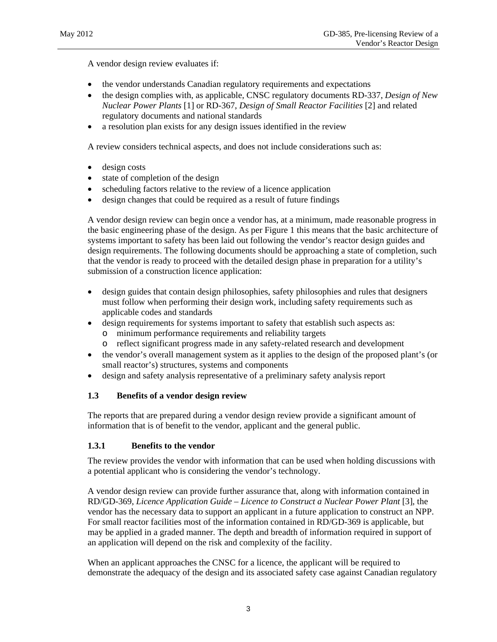A vendor design review evaluates if:

- the vendor understands Canadian regulatory requirements and expectations
- the design complies with, as applicable, CNSC regulatory documents RD-337, *Design of New Nuclear Power Plants* [1] or RD-367, *Design of Small Reactor Facilities* [2] and related regulatory documents and national standards
- a resolution plan exists for any design issues identified in the review

A review considers technical aspects, and does not include considerations such as:

- design costs
- state of completion of the design
- scheduling factors relative to the review of a licence application
- design changes that could be required as a result of future findings

A vendor design review can begin once a vendor has, at a minimum, made reasonable progress in the basic engineering phase of the design. As per Figure 1 this means that the basic architecture of systems important to safety has been laid out following the vendor's reactor design guides and design requirements. The following documents should be approaching a state of completion, such that the vendor is ready to proceed with the detailed design phase in preparation for a utility's submission of a construction licence application:

- design guides that contain design philosophies, safety philosophies and rules that designers must follow when performing their design work, including safety requirements such as applicable codes and standards
- design requirements for systems important to safety that establish such aspects as:
	- o minimum performance requirements and reliability targets
	- o reflect significant progress made in any safety-related research and development
- the vendor's overall management system as it applies to the design of the proposed plant's (or small reactor's) structures, systems and components
- design and safety analysis representative of a preliminary safety analysis report

## **1.3 Benefits of a vendor design review**

The reports that are prepared during a vendor design review provide a significant amount of information that is of benefit to the vendor, applicant and the general public.

## **1.3.1 Benefits to the vendor**

The review provides the vendor with information that can be used when holding discussions with a potential applicant who is considering the vendor's technology.

A vendor design review can provide further assurance that, along with information contained in RD/GD-369, *Licence Application Guide – Licence to Construct a Nuclear Power Plant* [3], the vendor has the necessary data to support an applicant in a future application to construct an NPP. For small reactor facilities most of the information contained in RD/GD-369 is applicable, but may be applied in a graded manner. The depth and breadth of information required in support of an application will depend on the risk and complexity of the facility.

When an applicant approaches the CNSC for a licence, the applicant will be required to demonstrate the adequacy of the design and its associated safety case against Canadian regulatory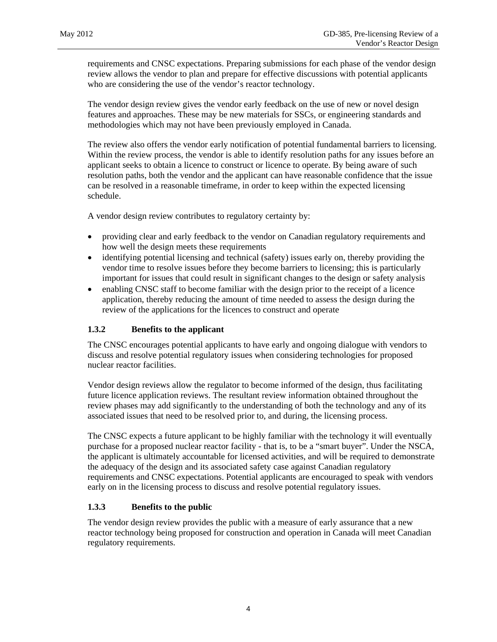requirements and CNSC expectations. Preparing submissions for each phase of the vendor design review allows the vendor to plan and prepare for effective discussions with potential applicants who are considering the use of the vendor's reactor technology.

The vendor design review gives the vendor early feedback on the use of new or novel design features and approaches. These may be new materials for SSCs, or engineering standards and methodologies which may not have been previously employed in Canada.

The review also offers the vendor early notification of potential fundamental barriers to licensing. Within the review process, the vendor is able to identify resolution paths for any issues before an applicant seeks to obtain a licence to construct or licence to operate. By being aware of such resolution paths, both the vendor and the applicant can have reasonable confidence that the issue can be resolved in a reasonable timeframe, in order to keep within the expected licensing schedule.

A vendor design review contributes to regulatory certainty by:

- providing clear and early feedback to the vendor on Canadian regulatory requirements and how well the design meets these requirements
- identifying potential licensing and technical (safety) issues early on, thereby providing the vendor time to resolve issues before they become barriers to licensing; this is particularly important for issues that could result in significant changes to the design or safety analysis
- enabling CNSC staff to become familiar with the design prior to the receipt of a licence application, thereby reducing the amount of time needed to assess the design during the review of the applications for the licences to construct and operate

## **1.3.2 Benefits to the applicant**

The CNSC encourages potential applicants to have early and ongoing dialogue with vendors to discuss and resolve potential regulatory issues when considering technologies for proposed nuclear reactor facilities.

Vendor design reviews allow the regulator to become informed of the design, thus facilitating future licence application reviews. The resultant review information obtained throughout the review phases may add significantly to the understanding of both the technology and any of its associated issues that need to be resolved prior to, and during, the licensing process.

The CNSC expects a future applicant to be highly familiar with the technology it will eventually purchase for a proposed nuclear reactor facility - that is, to be a "smart buyer". Under the NSCA, the applicant is ultimately accountable for licensed activities, and will be required to demonstrate the adequacy of the design and its associated safety case against Canadian regulatory requirements and CNSC expectations. Potential applicants are encouraged to speak with vendors early on in the licensing process to discuss and resolve potential regulatory issues.

## **1.3.3 Benefits to the public**

The vendor design review provides the public with a measure of early assurance that a new reactor technology being proposed for construction and operation in Canada will meet Canadian regulatory requirements.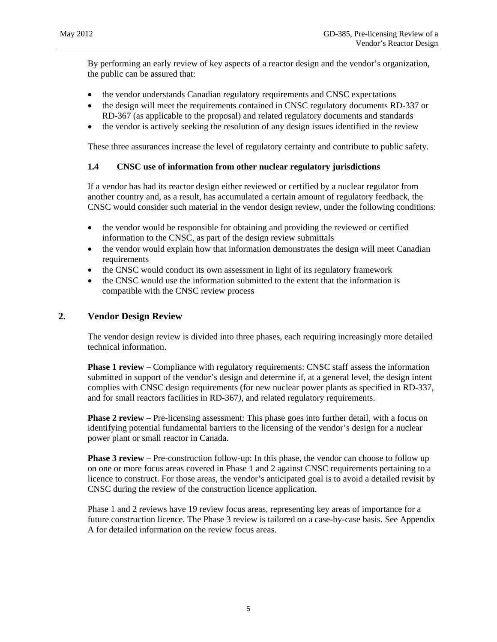By performing an early review of key aspects of a reactor design and the vendor's organization, the public can be assured that:

- the vendor understands Canadian regulatory requirements and CNSC expectations
- the design will meet the requirements contained in CNSC regulatory documents RD-337 or RD-367 (as applicable to the proposal) and related regulatory documents and standards
- the vendor is actively seeking the resolution of any design issues identified in the review

These three assurances increase the level of regulatory certainty and contribute to public safety.

## **1.4 CNSC use of information from other nuclear regulatory jurisdictions**

If a vendor has had its reactor design either reviewed or certified by a nuclear regulator from another country and, as a result, has accumulated a certain amount of regulatory feedback, the CNSC would consider such material in the vendor design review, under the following conditions:

- the vendor would be responsible for obtaining and providing the reviewed or certified information to the CNSC, as part of the design review submittals
- the vendor would explain how that information demonstrates the design will meet Canadian requirements
- the CNSC would conduct its own assessment in light of its regulatory framework
- the CNSC would use the information submitted to the extent that the information is compatible with the CNSC review process

## **2. Vendor Design Review**

The vendor design review is divided into three phases, each requiring increasingly more detailed technical information.

**Phase 1 review –** Compliance with regulatory requirements: CNSC staff assess the information submitted in support of the vendor's design and determine if, at a general level, the design intent complies with CNSC design requirements (for new nuclear power plants as specified in RD-337, and for small reactors facilities in RD-367*)*, and related regulatory requirements.

**Phase 2 review** – Pre-licensing assessment: This phase goes into further detail, with a focus on identifying potential fundamental barriers to the licensing of the vendor's design for a nuclear power plant or small reactor in Canada.

**Phase 3 review –** Pre-construction follow-up: In this phase, the vendor can choose to follow up on one or more focus areas covered in Phase 1 and 2 against CNSC requirements pertaining to a licence to construct. For those areas, the vendor's anticipated goal is to avoid a detailed revisit by CNSC during the review of the construction licence application.

Phase 1 and 2 reviews have 19 review focus areas, representing key areas of importance for a future construction licence. The Phase 3 review is tailored on a case-by-case basis. See Appendix A for detailed information on the review focus areas.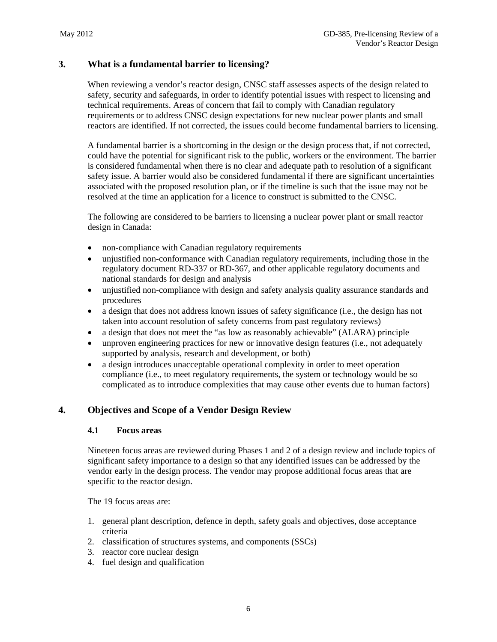## **3. What is a fundamental barrier to licensing?**

When reviewing a vendor's reactor design, CNSC staff assesses aspects of the design related to safety, security and safeguards, in order to identify potential issues with respect to licensing and technical requirements. Areas of concern that fail to comply with Canadian regulatory requirements or to address CNSC design expectations for new nuclear power plants and small reactors are identified. If not corrected, the issues could become fundamental barriers to licensing.

A fundamental barrier is a shortcoming in the design or the design process that, if not corrected, could have the potential for significant risk to the public, workers or the environment. The barrier is considered fundamental when there is no clear and adequate path to resolution of a significant safety issue. A barrier would also be considered fundamental if there are significant uncertainties associated with the proposed resolution plan, or if the timeline is such that the issue may not be resolved at the time an application for a licence to construct is submitted to the CNSC.

The following are considered to be barriers to licensing a nuclear power plant or small reactor design in Canada:

- non-compliance with Canadian regulatory requirements
- unjustified non-conformance with Canadian regulatory requirements, including those in the regulatory document RD-337 or RD-367, and other applicable regulatory documents and national standards for design and analysis
- unjustified non-compliance with design and safety analysis quality assurance standards and procedures
- a design that does not address known issues of safety significance (i.e., the design has not taken into account resolution of safety concerns from past regulatory reviews)
- a design that does not meet the "as low as reasonably achievable" (ALARA) principle
- unproven engineering practices for new or innovative design features (i.e., not adequately supported by analysis, research and development, or both)
- a design introduces unacceptable operational complexity in order to meet operation compliance (i.e., to meet regulatory requirements, the system or technology would be so complicated as to introduce complexities that may cause other events due to human factors)

## **4. Objectives and Scope of a Vendor Design Review**

## **4.1 Focus areas**

Nineteen focus areas are reviewed during Phases 1 and 2 of a design review and include topics of significant safety importance to a design so that any identified issues can be addressed by the vendor early in the design process. The vendor may propose additional focus areas that are specific to the reactor design.

The 19 focus areas are:

- 1. general plant description, defence in depth, safety goals and objectives, dose acceptance criteria
- 2. classification of structures systems, and components (SSCs)
- 3. reactor core nuclear design
- 4. fuel design and qualification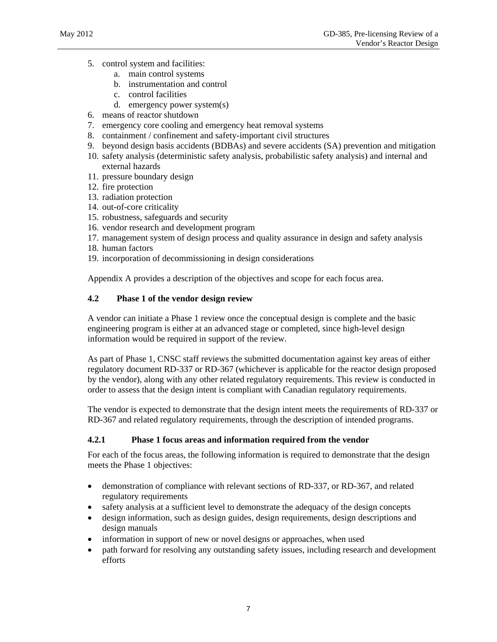- 5. control system and facilities:
	- a. main control systems
	- b. instrumentation and control
	- c. control facilities
	- d. emergency power system(s)
- 6. means of reactor shutdown
- 7. emergency core cooling and emergency heat removal systems
- 8. containment / confinement and safety-important civil structures
- 9. beyond design basis accidents (BDBAs) and severe accidents (SA) prevention and mitigation
- 10. safety analysis (deterministic safety analysis, probabilistic safety analysis) and internal and external hazards
- 11. pressure boundary design
- 12. fire protection
- 13. radiation protection
- 14. out-of-core criticality
- 15. robustness, safeguards and security
- 16. vendor research and development program
- 17. management system of design process and quality assurance in design and safety analysis
- 18. human factors
- 19. incorporation of decommissioning in design considerations

Appendix A provides a description of the objectives and scope for each focus area.

## **4.2 Phase 1 of the vendor design review**

A vendor can initiate a Phase 1 review once the conceptual design is complete and the basic engineering program is either at an advanced stage or completed, since high-level design information would be required in support of the review.

As part of Phase 1, CNSC staff reviews the submitted documentation against key areas of either regulatory document RD-337 or RD-367 (whichever is applicable for the reactor design proposed by the vendor), along with any other related regulatory requirements. This review is conducted in order to assess that the design intent is compliant with Canadian regulatory requirements.

The vendor is expected to demonstrate that the design intent meets the requirements of RD-337 or RD-367 and related regulatory requirements, through the description of intended programs.

## **4.2.1 Phase 1 focus areas and information required from the vendor**

For each of the focus areas, the following information is required to demonstrate that the design meets the Phase 1 objectives:

- demonstration of compliance with relevant sections of RD-337, or RD-367, and related regulatory requirements
- safety analysis at a sufficient level to demonstrate the adequacy of the design concepts
- design information, such as design guides, design requirements, design descriptions and design manuals
- information in support of new or novel designs or approaches, when used
- path forward for resolving any outstanding safety issues, including research and development efforts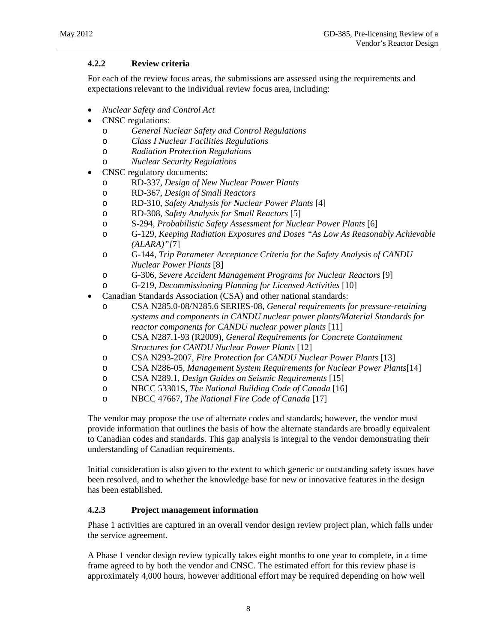## **4.2.2 Review criteria**

For each of the review focus areas, the submissions are assessed using the requirements and expectations relevant to the individual review focus area, including:

- *Nuclear Safety and Control Act*
- CNSC regulations:
	- o *General Nuclear Safety and Control Regulations*
	- o *Class I Nuclear Facilities Regulations*
	- o *Radiation Protection Regulations*
	- o *Nuclear Security Regulations*
- CNSC regulatory documents:
	- o RD-337, *Design of New Nuclear Power Plants*
	- o RD-367, *Design of Small Reactors*
	- o RD-310, *Safety Analysis for Nuclear Power Plants* [4]
	- o RD-308, *Safety Analysis for Small Reactors* [5]
	- o S-294, *Probabilistic Safety Assessment for Nuclear Power Plants* [6]
	- o G-129, *Keeping Radiation Exposures and Doses "As Low As Reasonably Achievable (ALARA)"[*7]
	- o G-144, *Trip Parameter Acceptance Criteria for the Safety Analysis of CANDU Nuclear Power Plants* [8]
	- o G-306, *Severe Accident Management Programs for Nuclear Reactors* [9]
	- o G-219, *Decommissioning Planning for Licensed Activities* [10]
- Canadian Standards Association (CSA) and other national standards:
	- o CSA N285.0-08/N285.6 SERIES-08, *General requirements for pressure-retaining systems and components in CANDU nuclear power plants/Material Standards for reactor components for CANDU nuclear power plants* [11]
	- o CSA N287.1-93 (R2009), *General Requirements for Concrete Containment Structures for CANDU Nuclear Power Plants* [12]
	- o CSA N293-2007, *Fire Protection for CANDU Nuclear Power Plants* [13]
	- o CSA N286-05, *Management System Requirements for Nuclear Power Plants*[14]
	- o CSA N289.1, *Design Guides on Seismic Requirements* [15]
	- o NBCC 53301S, *The National Building Code of Canada* [16]
	- o NBCC 47667, *The National Fire Code of Canada* [17]

The vendor may propose the use of alternate codes and standards; however, the vendor must provide information that outlines the basis of how the alternate standards are broadly equivalent to Canadian codes and standards. This gap analysis is integral to the vendor demonstrating their understanding of Canadian requirements.

Initial consideration is also given to the extent to which generic or outstanding safety issues have been resolved, and to whether the knowledge base for new or innovative features in the design has been established.

## **4.2.3 Project management information**

Phase 1 activities are captured in an overall vendor design review project plan, which falls under the service agreement.

A Phase 1 vendor design review typically takes eight months to one year to complete, in a time frame agreed to by both the vendor and CNSC. The estimated effort for this review phase is approximately 4,000 hours, however additional effort may be required depending on how well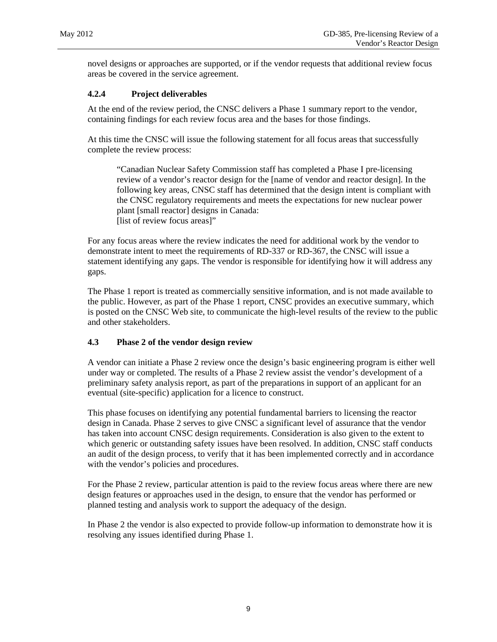novel designs or approaches are supported, or if the vendor requests that additional review focus areas be covered in the service agreement.

## **4.2.4 Project deliverables**

At the end of the review period, the CNSC delivers a Phase 1 summary report to the vendor, containing findings for each review focus area and the bases for those findings.

At this time the CNSC will issue the following statement for all focus areas that successfully complete the review process:

"Canadian Nuclear Safety Commission staff has completed a Phase I pre-licensing review of a vendor's reactor design for the [name of vendor and reactor design]. In the following key areas, CNSC staff has determined that the design intent is compliant with the CNSC regulatory requirements and meets the expectations for new nuclear power plant [small reactor] designs in Canada: [list of review focus areas]"

For any focus areas where the review indicates the need for additional work by the vendor to demonstrate intent to meet the requirements of RD-337 or RD-367, the CNSC will issue a statement identifying any gaps. The vendor is responsible for identifying how it will address any gaps.

The Phase 1 report is treated as commercially sensitive information, and is not made available to the public. However, as part of the Phase 1 report, CNSC provides an executive summary, which is posted on the CNSC Web site, to communicate the high-level results of the review to the public and other stakeholders.

## **4.3 Phase 2 of the vendor design review**

A vendor can initiate a Phase 2 review once the design's basic engineering program is either well under way or completed. The results of a Phase 2 review assist the vendor's development of a preliminary safety analysis report, as part of the preparations in support of an applicant for an eventual (site-specific) application for a licence to construct.

This phase focuses on identifying any potential fundamental barriers to licensing the reactor design in Canada. Phase 2 serves to give CNSC a significant level of assurance that the vendor has taken into account CNSC design requirements. Consideration is also given to the extent to which generic or outstanding safety issues have been resolved. In addition, CNSC staff conducts an audit of the design process, to verify that it has been implemented correctly and in accordance with the vendor's policies and procedures.

For the Phase 2 review, particular attention is paid to the review focus areas where there are new design features or approaches used in the design, to ensure that the vendor has performed or planned testing and analysis work to support the adequacy of the design.

In Phase 2 the vendor is also expected to provide follow-up information to demonstrate how it is resolving any issues identified during Phase 1.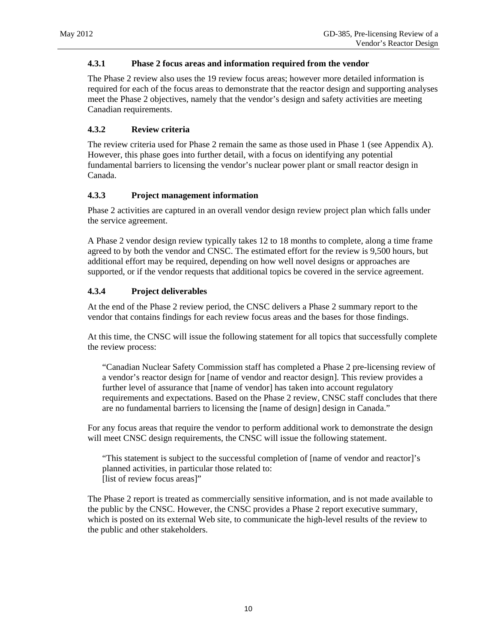## **4.3.1 Phase 2 focus areas and information required from the vendor**

The Phase 2 review also uses the 19 review focus areas; however more detailed information is required for each of the focus areas to demonstrate that the reactor design and supporting analyses meet the Phase 2 objectives, namely that the vendor's design and safety activities are meeting Canadian requirements.

## **4.3.2 Review criteria**

The review criteria used for Phase 2 remain the same as those used in Phase 1 (see Appendix A). However, this phase goes into further detail, with a focus on identifying any potential fundamental barriers to licensing the vendor's nuclear power plant or small reactor design in Canada.

## **4.3.3 Project management information**

Phase 2 activities are captured in an overall vendor design review project plan which falls under the service agreement.

A Phase 2 vendor design review typically takes 12 to 18 months to complete, along a time frame agreed to by both the vendor and CNSC. The estimated effort for the review is 9,500 hours, but additional effort may be required, depending on how well novel designs or approaches are supported, or if the vendor requests that additional topics be covered in the service agreement.

## **4.3.4 Project deliverables**

At the end of the Phase 2 review period, the CNSC delivers a Phase 2 summary report to the vendor that contains findings for each review focus areas and the bases for those findings.

At this time, the CNSC will issue the following statement for all topics that successfully complete the review process:

"Canadian Nuclear Safety Commission staff has completed a Phase 2 pre-licensing review of a vendor's reactor design for [name of vendor and reactor design]. This review provides a further level of assurance that [name of vendor] has taken into account regulatory requirements and expectations. Based on the Phase 2 review, CNSC staff concludes that there are no fundamental barriers to licensing the [name of design] design in Canada."

For any focus areas that require the vendor to perform additional work to demonstrate the design will meet CNSC design requirements, the CNSC will issue the following statement.

"This statement is subject to the successful completion of [name of vendor and reactor]'s planned activities, in particular those related to: [list of review focus areas]"

The Phase 2 report is treated as commercially sensitive information, and is not made available to the public by the CNSC. However, the CNSC provides a Phase 2 report executive summary, which is posted on its external Web site, to communicate the high-level results of the review to the public and other stakeholders.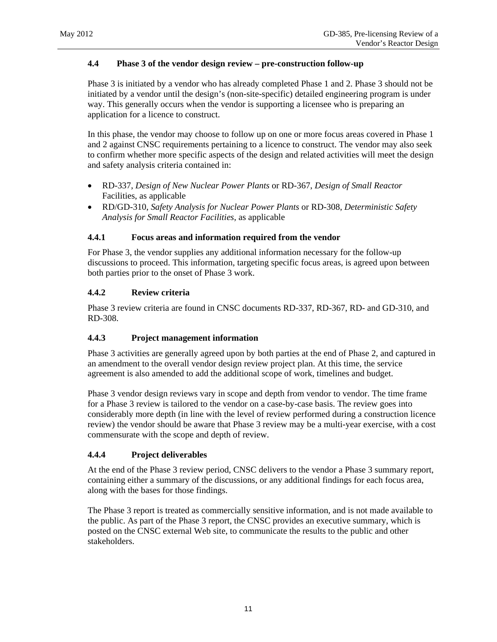## **4.4 Phase 3 of the vendor design review – pre-construction follow-up**

Phase 3 is initiated by a vendor who has already completed Phase 1 and 2. Phase 3 should not be initiated by a vendor until the design's (non-site-specific) detailed engineering program is under way. This generally occurs when the vendor is supporting a licensee who is preparing an application for a licence to construct.

In this phase, the vendor may choose to follow up on one or more focus areas covered in Phase 1 and 2 against CNSC requirements pertaining to a licence to construct. The vendor may also seek to confirm whether more specific aspects of the design and related activities will meet the design and safety analysis criteria contained in:

- RD-337, *Design of New Nuclear Power Plants* or RD-367, *Design of Small Reactor*  Facilities, as applicable
- RD/GD-310, *Safety Analysis for Nuclear Power Plants* or RD-308, *Deterministic Safety Analysis for Small Reactor Facilities*, as applicable

## **4.4.1 Focus areas and information required from the vendor**

For Phase 3, the vendor supplies any additional information necessary for the follow-up discussions to proceed. This information, targeting specific focus areas, is agreed upon between both parties prior to the onset of Phase 3 work.

## **4.4.2 Review criteria**

Phase 3 review criteria are found in CNSC documents RD-337, RD-367, RD- and GD-310, and RD-308.

## **4.4.3 Project management information**

Phase 3 activities are generally agreed upon by both parties at the end of Phase 2, and captured in an amendment to the overall vendor design review project plan. At this time, the service agreement is also amended to add the additional scope of work, timelines and budget.

Phase 3 vendor design reviews vary in scope and depth from vendor to vendor. The time frame for a Phase 3 review is tailored to the vendor on a case-by-case basis. The review goes into considerably more depth (in line with the level of review performed during a construction licence review) the vendor should be aware that Phase 3 review may be a multi-year exercise, with a cost commensurate with the scope and depth of review.

## **4.4.4 Project deliverables**

At the end of the Phase 3 review period, CNSC delivers to the vendor a Phase 3 summary report, containing either a summary of the discussions, or any additional findings for each focus area, along with the bases for those findings.

The Phase 3 report is treated as commercially sensitive information, and is not made available to the public. As part of the Phase 3 report, the CNSC provides an executive summary, which is posted on the CNSC external Web site, to communicate the results to the public and other stakeholders.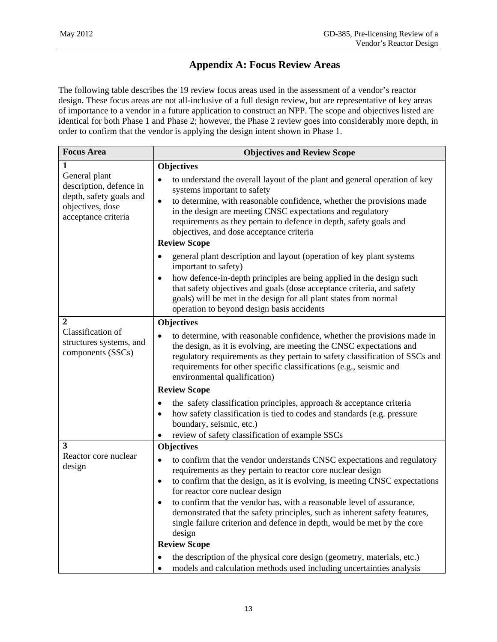# **Appendix A: Focus Review Areas**

The following table describes the 19 review focus areas used in the assessment of a vendor's reactor design. These focus areas are not all-inclusive of a full design review, but are representative of key areas of importance to a vendor in a future application to construct an NPP. The scope and objectives listed are identical for both Phase 1 and Phase 2; however, the Phase 2 review goes into considerably more depth, in order to confirm that the vendor is applying the design intent shown in Phase 1.

| <b>Focus Area</b>                                                                                              | <b>Objectives and Review Scope</b>                                                                                                                                                                                                                                                                                                                                                                                                                                                                                                                    |
|----------------------------------------------------------------------------------------------------------------|-------------------------------------------------------------------------------------------------------------------------------------------------------------------------------------------------------------------------------------------------------------------------------------------------------------------------------------------------------------------------------------------------------------------------------------------------------------------------------------------------------------------------------------------------------|
| 1                                                                                                              | <b>Objectives</b>                                                                                                                                                                                                                                                                                                                                                                                                                                                                                                                                     |
| General plant<br>description, defence in<br>depth, safety goals and<br>objectives, dose<br>acceptance criteria | to understand the overall layout of the plant and general operation of key<br>$\bullet$<br>systems important to safety<br>to determine, with reasonable confidence, whether the provisions made<br>$\bullet$<br>in the design are meeting CNSC expectations and regulatory<br>requirements as they pertain to defence in depth, safety goals and<br>objectives, and dose acceptance criteria<br><b>Review Scope</b>                                                                                                                                   |
|                                                                                                                | general plant description and layout (operation of key plant systems<br>important to safety)                                                                                                                                                                                                                                                                                                                                                                                                                                                          |
|                                                                                                                | how defence-in-depth principles are being applied in the design such<br>$\bullet$<br>that safety objectives and goals (dose acceptance criteria, and safety<br>goals) will be met in the design for all plant states from normal<br>operation to beyond design basis accidents                                                                                                                                                                                                                                                                        |
| 2                                                                                                              | <b>Objectives</b>                                                                                                                                                                                                                                                                                                                                                                                                                                                                                                                                     |
| Classification of<br>structures systems, and<br>components (SSCs)                                              | to determine, with reasonable confidence, whether the provisions made in<br>$\bullet$<br>the design, as it is evolving, are meeting the CNSC expectations and<br>regulatory requirements as they pertain to safety classification of SSCs and<br>requirements for other specific classifications (e.g., seismic and<br>environmental qualification)                                                                                                                                                                                                   |
|                                                                                                                | <b>Review Scope</b>                                                                                                                                                                                                                                                                                                                                                                                                                                                                                                                                   |
|                                                                                                                | the safety classification principles, approach & acceptance criteria<br>$\bullet$<br>how safety classification is tied to codes and standards (e.g. pressure<br>$\bullet$<br>boundary, seismic, etc.)<br>review of safety classification of example SSCs                                                                                                                                                                                                                                                                                              |
| 3                                                                                                              | <b>Objectives</b>                                                                                                                                                                                                                                                                                                                                                                                                                                                                                                                                     |
| Reactor core nuclear<br>design                                                                                 | to confirm that the vendor understands CNSC expectations and regulatory<br>$\bullet$<br>requirements as they pertain to reactor core nuclear design<br>to confirm that the design, as it is evolving, is meeting CNSC expectations<br>$\bullet$<br>for reactor core nuclear design<br>to confirm that the vendor has, with a reasonable level of assurance,<br>demonstrated that the safety principles, such as inherent safety features,<br>single failure criterion and defence in depth, would be met by the core<br>design<br><b>Review Scope</b> |
|                                                                                                                | the description of the physical core design (geometry, materials, etc.)                                                                                                                                                                                                                                                                                                                                                                                                                                                                               |
|                                                                                                                | models and calculation methods used including uncertainties analysis                                                                                                                                                                                                                                                                                                                                                                                                                                                                                  |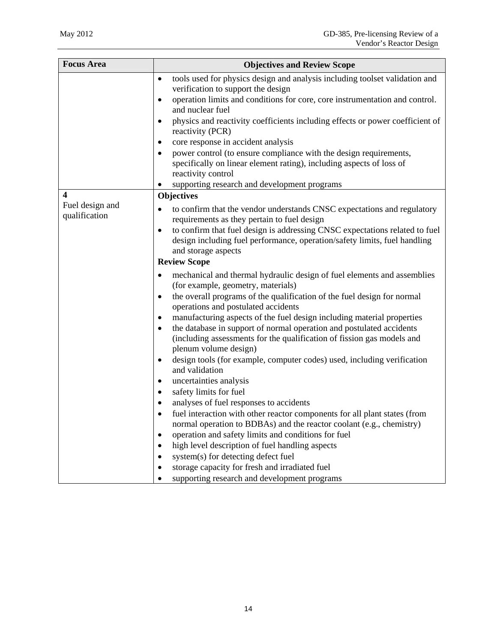| <b>Focus Area</b>                | <b>Objectives and Review Scope</b>                                                                                                                                                   |
|----------------------------------|--------------------------------------------------------------------------------------------------------------------------------------------------------------------------------------|
|                                  | tools used for physics design and analysis including toolset validation and<br>$\bullet$<br>verification to support the design                                                       |
|                                  | operation limits and conditions for core, core instrumentation and control.<br>$\bullet$<br>and nuclear fuel                                                                         |
|                                  | physics and reactivity coefficients including effects or power coefficient of<br>reactivity (PCR)                                                                                    |
|                                  | core response in accident analysis<br>٠                                                                                                                                              |
|                                  | power control (to ensure compliance with the design requirements,<br>٠<br>specifically on linear element rating), including aspects of loss of<br>reactivity control                 |
|                                  | supporting research and development programs                                                                                                                                         |
| 4                                | <b>Objectives</b>                                                                                                                                                                    |
| Fuel design and<br>qualification | to confirm that the vendor understands CNSC expectations and regulatory<br>٠<br>requirements as they pertain to fuel design                                                          |
|                                  | to confirm that fuel design is addressing CNSC expectations related to fuel<br>٠<br>design including fuel performance, operation/safety limits, fuel handling<br>and storage aspects |
|                                  | <b>Review Scope</b>                                                                                                                                                                  |
|                                  | mechanical and thermal hydraulic design of fuel elements and assemblies<br>(for example, geometry, materials)                                                                        |
|                                  | the overall programs of the qualification of the fuel design for normal<br>٠<br>operations and postulated accidents                                                                  |
|                                  | manufacturing aspects of the fuel design including material properties<br>٠                                                                                                          |
|                                  | the database in support of normal operation and postulated accidents<br>٠<br>(including assessments for the qualification of fission gas models and<br>plenum volume design)         |
|                                  | design tools (for example, computer codes) used, including verification<br>٠<br>and validation                                                                                       |
|                                  | uncertainties analysis<br>٠                                                                                                                                                          |
|                                  | safety limits for fuel                                                                                                                                                               |
|                                  | analyses of fuel responses to accidents                                                                                                                                              |
|                                  | fuel interaction with other reactor components for all plant states (from<br>normal operation to BDBAs) and the reactor coolant (e.g., chemistry)                                    |
|                                  | operation and safety limits and conditions for fuel                                                                                                                                  |
|                                  | high level description of fuel handling aspects                                                                                                                                      |
|                                  | system(s) for detecting defect fuel                                                                                                                                                  |
|                                  | storage capacity for fresh and irradiated fuel<br>supporting research and development programs                                                                                       |
|                                  |                                                                                                                                                                                      |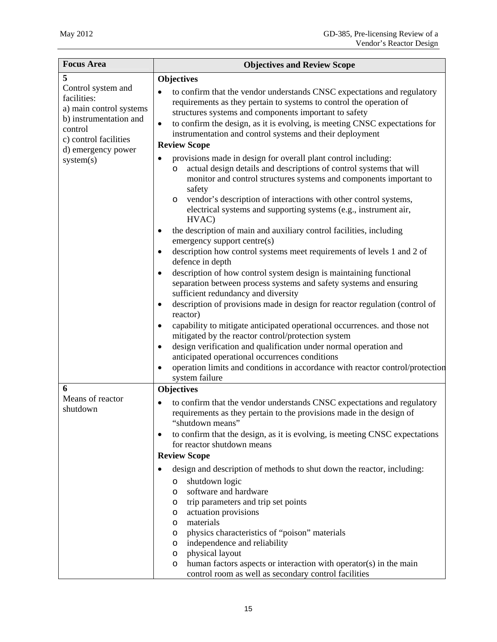| <b>Focus Area</b>                                                                                                                                | <b>Objectives and Review Scope</b>                                                                                                                                                                                                                                                                                                                                                                                                                                                                                                                                                                                                                                                                                                                                                                                                                                                                                                                                                                                                                                                                                          |
|--------------------------------------------------------------------------------------------------------------------------------------------------|-----------------------------------------------------------------------------------------------------------------------------------------------------------------------------------------------------------------------------------------------------------------------------------------------------------------------------------------------------------------------------------------------------------------------------------------------------------------------------------------------------------------------------------------------------------------------------------------------------------------------------------------------------------------------------------------------------------------------------------------------------------------------------------------------------------------------------------------------------------------------------------------------------------------------------------------------------------------------------------------------------------------------------------------------------------------------------------------------------------------------------|
| 5                                                                                                                                                | <b>Objectives</b>                                                                                                                                                                                                                                                                                                                                                                                                                                                                                                                                                                                                                                                                                                                                                                                                                                                                                                                                                                                                                                                                                                           |
| Control system and<br>facilities:<br>a) main control systems<br>b) instrumentation and<br>control<br>c) control facilities<br>d) emergency power | to confirm that the vendor understands CNSC expectations and regulatory<br>٠<br>requirements as they pertain to systems to control the operation of<br>structures systems and components important to safety<br>to confirm the design, as it is evolving, is meeting CNSC expectations for<br>$\bullet$<br>instrumentation and control systems and their deployment<br><b>Review Scope</b>                                                                                                                                                                                                                                                                                                                                                                                                                                                                                                                                                                                                                                                                                                                                  |
| system(s)                                                                                                                                        | provisions made in design for overall plant control including:                                                                                                                                                                                                                                                                                                                                                                                                                                                                                                                                                                                                                                                                                                                                                                                                                                                                                                                                                                                                                                                              |
|                                                                                                                                                  | actual design details and descriptions of control systems that will<br>$\circ$<br>monitor and control structures systems and components important to<br>safety<br>vendor's description of interactions with other control systems,<br>$\circ$<br>electrical systems and supporting systems (e.g., instrument air,<br>HVAC)<br>the description of main and auxiliary control facilities, including<br>٠<br>emergency support centre(s)<br>description how control systems meet requirements of levels 1 and 2 of<br>$\bullet$<br>defence in depth<br>description of how control system design is maintaining functional<br>$\bullet$<br>separation between process systems and safety systems and ensuring<br>sufficient redundancy and diversity<br>description of provisions made in design for reactor regulation (control of<br>$\bullet$<br>reactor)<br>capability to mitigate anticipated operational occurrences. and those not<br>٠<br>mitigated by the reactor control/protection system<br>design verification and qualification under normal operation and<br>٠<br>anticipated operational occurrences conditions |
|                                                                                                                                                  | operation limits and conditions in accordance with reactor control/protection<br>system failure                                                                                                                                                                                                                                                                                                                                                                                                                                                                                                                                                                                                                                                                                                                                                                                                                                                                                                                                                                                                                             |
| 6                                                                                                                                                | <b>Objectives</b>                                                                                                                                                                                                                                                                                                                                                                                                                                                                                                                                                                                                                                                                                                                                                                                                                                                                                                                                                                                                                                                                                                           |
| Means of reactor<br>shutdown                                                                                                                     | to confirm that the vendor understands CNSC expectations and regulatory<br>requirements as they pertain to the provisions made in the design of<br>"shutdown means"<br>to confirm that the design, as it is evolving, is meeting CNSC expectations<br>٠<br>for reactor shutdown means                                                                                                                                                                                                                                                                                                                                                                                                                                                                                                                                                                                                                                                                                                                                                                                                                                       |
|                                                                                                                                                  | <b>Review Scope</b>                                                                                                                                                                                                                                                                                                                                                                                                                                                                                                                                                                                                                                                                                                                                                                                                                                                                                                                                                                                                                                                                                                         |
|                                                                                                                                                  | design and description of methods to shut down the reactor, including:<br>$\bullet$<br>shutdown logic<br>$\circ$<br>software and hardware<br>$\circ$<br>trip parameters and trip set points<br>O<br>actuation provisions<br>O<br>materials<br>O<br>physics characteristics of "poison" materials<br>O<br>independence and reliability<br>O<br>physical layout<br>O<br>human factors aspects or interaction with operator(s) in the main<br>$\circ$<br>control room as well as secondary control facilities                                                                                                                                                                                                                                                                                                                                                                                                                                                                                                                                                                                                                  |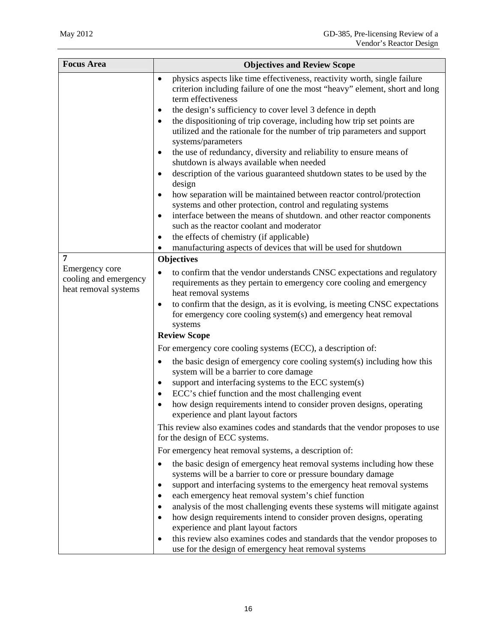| <b>Focus Area</b>                                                    | <b>Objectives and Review Scope</b>                                                                                                                                                                                                                                                                                                                                                                                                                                                                                                                                                                                                                                                                                                                                                                                                                                                                                                                                                                                                                                                                                                                                                                                                                                                                                      |
|----------------------------------------------------------------------|-------------------------------------------------------------------------------------------------------------------------------------------------------------------------------------------------------------------------------------------------------------------------------------------------------------------------------------------------------------------------------------------------------------------------------------------------------------------------------------------------------------------------------------------------------------------------------------------------------------------------------------------------------------------------------------------------------------------------------------------------------------------------------------------------------------------------------------------------------------------------------------------------------------------------------------------------------------------------------------------------------------------------------------------------------------------------------------------------------------------------------------------------------------------------------------------------------------------------------------------------------------------------------------------------------------------------|
| 7<br>Emergency core<br>cooling and emergency<br>heat removal systems | physics aspects like time effectiveness, reactivity worth, single failure<br>$\bullet$<br>criterion including failure of one the most "heavy" element, short and long<br>term effectiveness<br>the design's sufficiency to cover level 3 defence in depth<br>$\bullet$<br>the dispositioning of trip coverage, including how trip set points are<br>$\bullet$<br>utilized and the rationale for the number of trip parameters and support<br>systems/parameters<br>the use of redundancy, diversity and reliability to ensure means of<br>٠<br>shutdown is always available when needed<br>description of the various guaranteed shutdown states to be used by the<br>٠<br>design<br>how separation will be maintained between reactor control/protection<br>$\bullet$<br>systems and other protection, control and regulating systems<br>interface between the means of shutdown, and other reactor components<br>$\bullet$<br>such as the reactor coolant and moderator<br>the effects of chemistry (if applicable)<br>$\bullet$<br>manufacturing aspects of devices that will be used for shutdown<br>٠<br><b>Objectives</b><br>to confirm that the vendor understands CNSC expectations and regulatory<br>$\bullet$<br>requirements as they pertain to emergency core cooling and emergency<br>heat removal systems |
|                                                                      | to confirm that the design, as it is evolving, is meeting CNSC expectations<br>٠<br>for emergency core cooling system(s) and emergency heat removal<br>systems                                                                                                                                                                                                                                                                                                                                                                                                                                                                                                                                                                                                                                                                                                                                                                                                                                                                                                                                                                                                                                                                                                                                                          |
|                                                                      | <b>Review Scope</b>                                                                                                                                                                                                                                                                                                                                                                                                                                                                                                                                                                                                                                                                                                                                                                                                                                                                                                                                                                                                                                                                                                                                                                                                                                                                                                     |
|                                                                      | For emergency core cooling systems (ECC), a description of:<br>the basic design of emergency core cooling system(s) including how this<br>$\bullet$<br>system will be a barrier to core damage<br>support and interfacing systems to the ECC system(s)<br>$\bullet$<br>ECC's chief function and the most challenging event<br>٠<br>how design requirements intend to consider proven designs, operating<br>experience and plant layout factors                                                                                                                                                                                                                                                                                                                                                                                                                                                                                                                                                                                                                                                                                                                                                                                                                                                                          |
|                                                                      | This review also examines codes and standards that the vendor proposes to use<br>for the design of ECC systems.                                                                                                                                                                                                                                                                                                                                                                                                                                                                                                                                                                                                                                                                                                                                                                                                                                                                                                                                                                                                                                                                                                                                                                                                         |
|                                                                      | For emergency heat removal systems, a description of:                                                                                                                                                                                                                                                                                                                                                                                                                                                                                                                                                                                                                                                                                                                                                                                                                                                                                                                                                                                                                                                                                                                                                                                                                                                                   |
|                                                                      | the basic design of emergency heat removal systems including how these<br>٠<br>systems will be a barrier to core or pressure boundary damage<br>support and interfacing systems to the emergency heat removal systems<br>$\bullet$<br>each emergency heat removal system's chief function<br>$\bullet$<br>analysis of the most challenging events these systems will mitigate against<br>٠<br>how design requirements intend to consider proven designs, operating<br>experience and plant layout factors<br>this review also examines codes and standards that the vendor proposes to<br>$\bullet$<br>use for the design of emergency heat removal systems                                                                                                                                                                                                                                                                                                                                                                                                                                                                                                                                                                                                                                                             |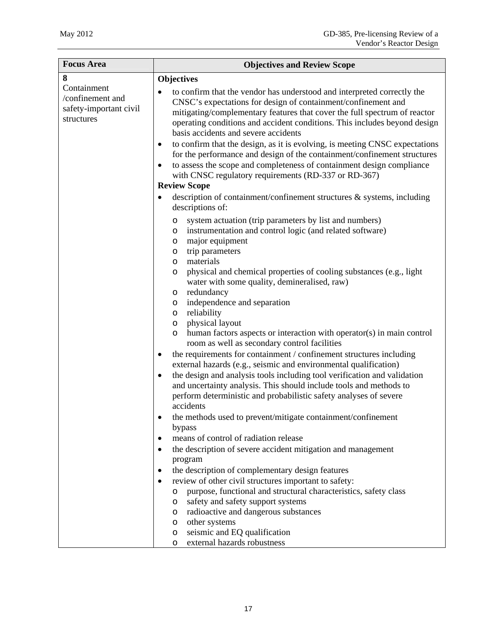| <b>Focus Area</b>                                                       | <b>Objectives and Review Scope</b>                                                                                                                                                                                                                                                                                                                                                                                                                                                                                                                                                                                                                                                                                                                                                                                                                                                                                                                                                                                                                                                                                                                                                                                                        |
|-------------------------------------------------------------------------|-------------------------------------------------------------------------------------------------------------------------------------------------------------------------------------------------------------------------------------------------------------------------------------------------------------------------------------------------------------------------------------------------------------------------------------------------------------------------------------------------------------------------------------------------------------------------------------------------------------------------------------------------------------------------------------------------------------------------------------------------------------------------------------------------------------------------------------------------------------------------------------------------------------------------------------------------------------------------------------------------------------------------------------------------------------------------------------------------------------------------------------------------------------------------------------------------------------------------------------------|
| 8                                                                       | <b>Objectives</b>                                                                                                                                                                                                                                                                                                                                                                                                                                                                                                                                                                                                                                                                                                                                                                                                                                                                                                                                                                                                                                                                                                                                                                                                                         |
| Containment<br>/confinement and<br>safety-important civil<br>structures | to confirm that the vendor has understood and interpreted correctly the<br>CNSC's expectations for design of containment/confinement and<br>mitigating/complementary features that cover the full spectrum of reactor<br>operating conditions and accident conditions. This includes beyond design<br>basis accidents and severe accidents<br>to confirm that the design, as it is evolving, is meeting CNSC expectations<br>$\bullet$<br>for the performance and design of the containment/confinement structures<br>to assess the scope and completeness of containment design compliance<br>$\bullet$<br>with CNSC regulatory requirements (RD-337 or RD-367)<br><b>Review Scope</b>                                                                                                                                                                                                                                                                                                                                                                                                                                                                                                                                                   |
|                                                                         | description of containment/confinement structures & systems, including<br>٠<br>descriptions of:                                                                                                                                                                                                                                                                                                                                                                                                                                                                                                                                                                                                                                                                                                                                                                                                                                                                                                                                                                                                                                                                                                                                           |
|                                                                         | system actuation (trip parameters by list and numbers)<br>O<br>instrumentation and control logic (and related software)<br>O<br>major equipment<br>O<br>trip parameters<br>O<br>materials<br>O<br>physical and chemical properties of cooling substances (e.g., light<br>O<br>water with some quality, demineralised, raw)<br>redundancy<br>O<br>independence and separation<br>O<br>reliability<br>O<br>physical layout<br>O<br>human factors aspects or interaction with operator(s) in main control<br>$\circ$<br>room as well as secondary control facilities<br>the requirements for containment / confinement structures including<br>$\bullet$<br>external hazards (e.g., seismic and environmental qualification)<br>the design and analysis tools including tool verification and validation<br>$\bullet$<br>and uncertainty analysis. This should include tools and methods to<br>perform deterministic and probabilistic safety analyses of severe<br>accidents<br>the methods used to prevent/mitigate containment/confinement<br>bypass<br>means of control of radiation release<br>the description of severe accident mitigation and management<br>$\bullet$<br>program<br>the description of complementary design features |
|                                                                         | review of other civil structures important to safety:<br>purpose, functional and structural characteristics, safety class<br>$\circ$                                                                                                                                                                                                                                                                                                                                                                                                                                                                                                                                                                                                                                                                                                                                                                                                                                                                                                                                                                                                                                                                                                      |
|                                                                         | safety and safety support systems<br>O<br>radioactive and dangerous substances<br>O                                                                                                                                                                                                                                                                                                                                                                                                                                                                                                                                                                                                                                                                                                                                                                                                                                                                                                                                                                                                                                                                                                                                                       |
|                                                                         | other systems<br>O                                                                                                                                                                                                                                                                                                                                                                                                                                                                                                                                                                                                                                                                                                                                                                                                                                                                                                                                                                                                                                                                                                                                                                                                                        |
|                                                                         | seismic and EQ qualification<br>O<br>external hazards robustness<br>O                                                                                                                                                                                                                                                                                                                                                                                                                                                                                                                                                                                                                                                                                                                                                                                                                                                                                                                                                                                                                                                                                                                                                                     |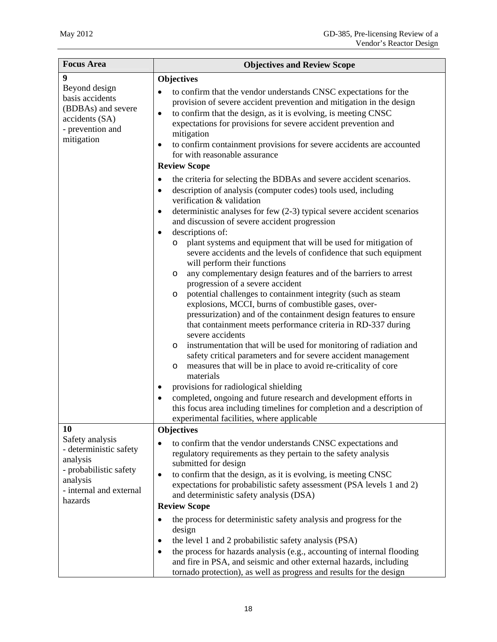| <b>Focus Area</b>                                                                                                                 | <b>Objectives and Review Scope</b>                                                                                                                                                                                                                                                                                                                                                                                                                                                                                                                                                                                                                                                                                                                                                                                                                                                                                                                                                                                                                                                                                                                                   |
|-----------------------------------------------------------------------------------------------------------------------------------|----------------------------------------------------------------------------------------------------------------------------------------------------------------------------------------------------------------------------------------------------------------------------------------------------------------------------------------------------------------------------------------------------------------------------------------------------------------------------------------------------------------------------------------------------------------------------------------------------------------------------------------------------------------------------------------------------------------------------------------------------------------------------------------------------------------------------------------------------------------------------------------------------------------------------------------------------------------------------------------------------------------------------------------------------------------------------------------------------------------------------------------------------------------------|
| 9                                                                                                                                 | <b>Objectives</b>                                                                                                                                                                                                                                                                                                                                                                                                                                                                                                                                                                                                                                                                                                                                                                                                                                                                                                                                                                                                                                                                                                                                                    |
| Beyond design<br>basis accidents<br>(BDBAs) and severe<br>accidents (SA)<br>- prevention and<br>mitigation                        | to confirm that the vendor understands CNSC expectations for the<br>provision of severe accident prevention and mitigation in the design<br>to confirm that the design, as it is evolving, is meeting CNSC<br>$\bullet$<br>expectations for provisions for severe accident prevention and<br>mitigation<br>to confirm containment provisions for severe accidents are accounted<br>$\bullet$<br>for with reasonable assurance                                                                                                                                                                                                                                                                                                                                                                                                                                                                                                                                                                                                                                                                                                                                        |
|                                                                                                                                   | <b>Review Scope</b>                                                                                                                                                                                                                                                                                                                                                                                                                                                                                                                                                                                                                                                                                                                                                                                                                                                                                                                                                                                                                                                                                                                                                  |
|                                                                                                                                   | the criteria for selecting the BDBAs and severe accident scenarios.<br>٠<br>description of analysis (computer codes) tools used, including<br>$\bullet$<br>verification & validation<br>deterministic analyses for few $(2-3)$ typical severe accident scenarios<br>$\bullet$<br>and discussion of severe accident progression<br>descriptions of:<br>$\bullet$<br>plant systems and equipment that will be used for mitigation of<br>O<br>severe accidents and the levels of confidence that such equipment<br>will perform their functions<br>any complementary design features and of the barriers to arrest<br>O<br>progression of a severe accident<br>potential challenges to containment integrity (such as steam<br>O<br>explosions, MCCI, burns of combustible gases, over-<br>pressurization) and of the containment design features to ensure<br>that containment meets performance criteria in RD-337 during<br>severe accidents<br>instrumentation that will be used for monitoring of radiation and<br>O<br>safety critical parameters and for severe accident management<br>measures that will be in place to avoid re-criticality of core<br>$\circ$ |
|                                                                                                                                   | materials<br>provisions for radiological shielding<br>completed, ongoing and future research and development efforts in<br>$\bullet$<br>this focus area including timelines for completion and a description of                                                                                                                                                                                                                                                                                                                                                                                                                                                                                                                                                                                                                                                                                                                                                                                                                                                                                                                                                      |
| 10                                                                                                                                | experimental facilities, where applicable<br><b>Objectives</b>                                                                                                                                                                                                                                                                                                                                                                                                                                                                                                                                                                                                                                                                                                                                                                                                                                                                                                                                                                                                                                                                                                       |
| Safety analysis<br>- deterministic safety<br>analysis<br>- probabilistic safety<br>analysis<br>- internal and external<br>hazards | to confirm that the vendor understands CNSC expectations and<br>regulatory requirements as they pertain to the safety analysis<br>submitted for design<br>to confirm that the design, as it is evolving, is meeting CNSC<br>$\bullet$<br>expectations for probabilistic safety assessment (PSA levels 1 and 2)<br>and deterministic safety analysis (DSA)<br><b>Review Scope</b><br>the process for deterministic safety analysis and progress for the<br>٠<br>design<br>the level 1 and 2 probabilistic safety analysis (PSA)<br>$\bullet$                                                                                                                                                                                                                                                                                                                                                                                                                                                                                                                                                                                                                          |
|                                                                                                                                   | the process for hazards analysis (e.g., accounting of internal flooding<br>$\bullet$<br>and fire in PSA, and seismic and other external hazards, including<br>tornado protection), as well as progress and results for the design                                                                                                                                                                                                                                                                                                                                                                                                                                                                                                                                                                                                                                                                                                                                                                                                                                                                                                                                    |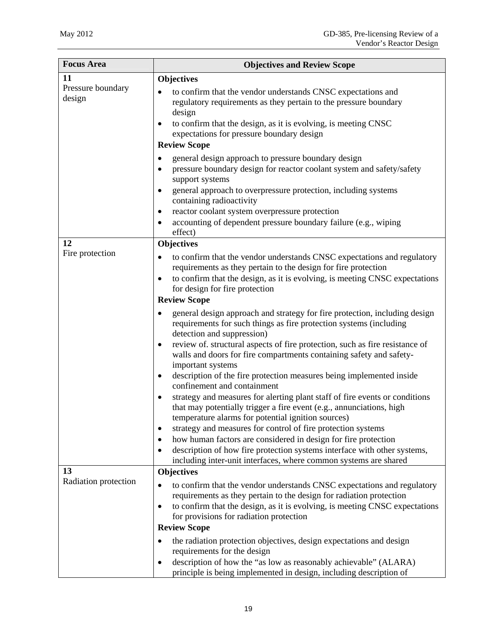| <b>Focus Area</b>           | <b>Objectives and Review Scope</b>                                                                                                                                                                                                                                                                                                                                      |
|-----------------------------|-------------------------------------------------------------------------------------------------------------------------------------------------------------------------------------------------------------------------------------------------------------------------------------------------------------------------------------------------------------------------|
| 11                          | <b>Objectives</b>                                                                                                                                                                                                                                                                                                                                                       |
| Pressure boundary<br>design | to confirm that the vendor understands CNSC expectations and<br>regulatory requirements as they pertain to the pressure boundary<br>design<br>to confirm that the design, as it is evolving, is meeting CNSC<br>٠<br>expectations for pressure boundary design<br><b>Review Scope</b>                                                                                   |
|                             | general design approach to pressure boundary design<br>٠                                                                                                                                                                                                                                                                                                                |
|                             | pressure boundary design for reactor coolant system and safety/safety<br>$\bullet$<br>support systems<br>general approach to overpressure protection, including systems<br>٠                                                                                                                                                                                            |
|                             | containing radioactivity<br>reactor coolant system overpressure protection<br>$\bullet$                                                                                                                                                                                                                                                                                 |
|                             | accounting of dependent pressure boundary failure (e.g., wiping<br>$\bullet$<br>effect)                                                                                                                                                                                                                                                                                 |
| 12                          | <b>Objectives</b>                                                                                                                                                                                                                                                                                                                                                       |
| Fire protection             | to confirm that the vendor understands CNSC expectations and regulatory<br>requirements as they pertain to the design for fire protection<br>to confirm that the design, as it is evolving, is meeting CNSC expectations<br>$\bullet$<br>for design for fire protection<br><b>Review Scope</b>                                                                          |
|                             |                                                                                                                                                                                                                                                                                                                                                                         |
|                             | general design approach and strategy for fire protection, including design<br>requirements for such things as fire protection systems (including<br>detection and suppression)<br>review of. structural aspects of fire protection, such as fire resistance of<br>$\bullet$<br>walls and doors for fire compartments containing safety and safety-<br>important systems |
|                             | description of the fire protection measures being implemented inside<br>٠<br>confinement and containment                                                                                                                                                                                                                                                                |
|                             | strategy and measures for alerting plant staff of fire events or conditions<br>that may potentially trigger a fire event (e.g., annunciations, high<br>temperature alarms for potential ignition sources)                                                                                                                                                               |
|                             | strategy and measures for control of fire protection systems<br>٠                                                                                                                                                                                                                                                                                                       |
|                             | how human factors are considered in design for fire protection<br>description of how fire protection systems interface with other systems,<br>$\bullet$<br>including inter-unit interfaces, where common systems are shared                                                                                                                                             |
| 13                          | <b>Objectives</b>                                                                                                                                                                                                                                                                                                                                                       |
| Radiation protection        | to confirm that the vendor understands CNSC expectations and regulatory<br>$\bullet$<br>requirements as they pertain to the design for radiation protection<br>to confirm that the design, as it is evolving, is meeting CNSC expectations<br>for provisions for radiation protection                                                                                   |
|                             | <b>Review Scope</b>                                                                                                                                                                                                                                                                                                                                                     |
|                             | the radiation protection objectives, design expectations and design<br>$\bullet$<br>requirements for the design<br>description of how the "as low as reasonably achievable" (ALARA)<br>$\bullet$<br>principle is being implemented in design, including description of                                                                                                  |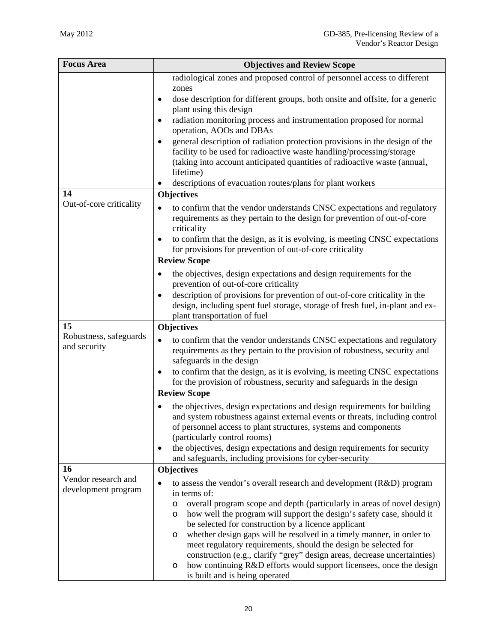| <b>Focus Area</b>                          | <b>Objectives and Review Scope</b>                                                                                                                                                                                                                                                                                                                     |
|--------------------------------------------|--------------------------------------------------------------------------------------------------------------------------------------------------------------------------------------------------------------------------------------------------------------------------------------------------------------------------------------------------------|
|                                            | radiological zones and proposed control of personnel access to different                                                                                                                                                                                                                                                                               |
|                                            | zones<br>dose description for different groups, both onsite and offsite, for a generic<br>$\bullet$<br>plant using this design                                                                                                                                                                                                                         |
|                                            | radiation monitoring process and instrumentation proposed for normal<br>operation, AOOs and DBAs                                                                                                                                                                                                                                                       |
|                                            | general description of radiation protection provisions in the design of the<br>$\bullet$<br>facility to be used for radioactive waste handling/processing/storage<br>(taking into account anticipated quantities of radioactive waste (annual,<br>lifetime)<br>descriptions of evacuation routes/plans for plant workers                               |
| 14                                         | <b>Objectives</b>                                                                                                                                                                                                                                                                                                                                      |
| Out-of-core criticality                    | to confirm that the vendor understands CNSC expectations and regulatory<br>requirements as they pertain to the design for prevention of out-of-core<br>criticality<br>to confirm that the design, as it is evolving, is meeting CNSC expectations                                                                                                      |
|                                            | for provisions for prevention of out-of-core criticality                                                                                                                                                                                                                                                                                               |
|                                            | <b>Review Scope</b>                                                                                                                                                                                                                                                                                                                                    |
|                                            | the objectives, design expectations and design requirements for the<br>$\bullet$<br>prevention of out-of-core criticality                                                                                                                                                                                                                              |
|                                            | description of provisions for prevention of out-of-core criticality in the<br>design, including spent fuel storage, storage of fresh fuel, in-plant and ex-<br>plant transportation of fuel                                                                                                                                                            |
| 15                                         | Objectives                                                                                                                                                                                                                                                                                                                                             |
| Robustness, safeguards<br>and security     | to confirm that the vendor understands CNSC expectations and regulatory<br>requirements as they pertain to the provision of robustness, security and<br>safeguards in the design<br>to confirm that the design, as it is evolving, is meeting CNSC expectations<br>$\bullet$<br>for the provision of robustness, security and safeguards in the design |
|                                            | <b>Review Scope</b>                                                                                                                                                                                                                                                                                                                                    |
|                                            | the objectives, design expectations and design requirements for building<br>and system robustness against external events or threats, including control<br>of personnel access to plant structures, systems and components<br>(particularly control rooms)<br>the objectives, design expectations and design requirements for security<br>$\bullet$    |
|                                            | and safeguards, including provisions for cyber-security                                                                                                                                                                                                                                                                                                |
| 16                                         | <b>Objectives</b>                                                                                                                                                                                                                                                                                                                                      |
| Vendor research and<br>development program | to assess the vendor's overall research and development (R&D) program<br>$\bullet$<br>in terms of:                                                                                                                                                                                                                                                     |
|                                            | overall program scope and depth (particularly in areas of novel design)<br>O<br>how well the program will support the design's safety case, should it<br>O<br>be selected for construction by a licence applicant<br>whether design gaps will be resolved in a timely manner, in order to<br>O                                                         |
|                                            | meet regulatory requirements, should the design be selected for<br>construction (e.g., clarify "grey" design areas, decrease uncertainties)<br>how continuing R&D efforts would support licensees, once the design<br>O<br>is built and is being operated                                                                                              |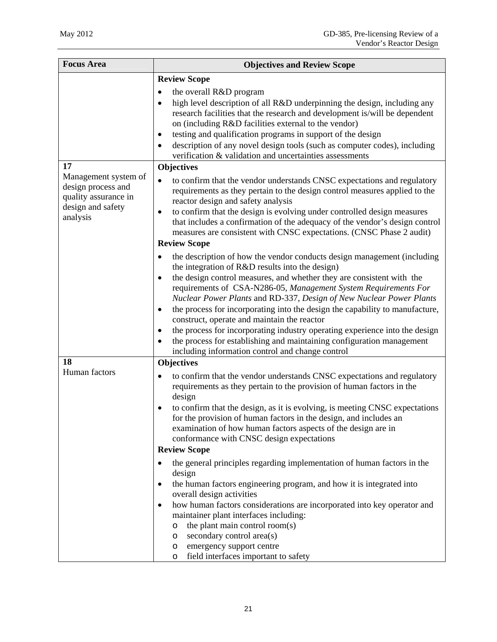| <b>Focus Area</b>                                                                                   | <b>Objectives and Review Scope</b>                                                                                                                                                                                                                                                                                                                                                                                                                                                                                                                                                                                                                                  |
|-----------------------------------------------------------------------------------------------------|---------------------------------------------------------------------------------------------------------------------------------------------------------------------------------------------------------------------------------------------------------------------------------------------------------------------------------------------------------------------------------------------------------------------------------------------------------------------------------------------------------------------------------------------------------------------------------------------------------------------------------------------------------------------|
|                                                                                                     | <b>Review Scope</b>                                                                                                                                                                                                                                                                                                                                                                                                                                                                                                                                                                                                                                                 |
|                                                                                                     | the overall R&D program<br>٠<br>high level description of all R&D underpinning the design, including any<br>$\bullet$<br>research facilities that the research and development is/will be dependent<br>on (including R&D facilities external to the vendor)<br>testing and qualification programs in support of the design<br>٠<br>description of any novel design tools (such as computer codes), including<br>verification & validation and uncertainties assessments                                                                                                                                                                                             |
| 17                                                                                                  | <b>Objectives</b>                                                                                                                                                                                                                                                                                                                                                                                                                                                                                                                                                                                                                                                   |
| Management system of<br>design process and<br>quality assurance in<br>design and safety<br>analysis | to confirm that the vendor understands CNSC expectations and regulatory<br>$\bullet$<br>requirements as they pertain to the design control measures applied to the<br>reactor design and safety analysis<br>to confirm that the design is evolving under controlled design measures<br>٠<br>that includes a confirmation of the adequacy of the vendor's design control<br>measures are consistent with CNSC expectations. (CNSC Phase 2 audit)                                                                                                                                                                                                                     |
|                                                                                                     | <b>Review Scope</b>                                                                                                                                                                                                                                                                                                                                                                                                                                                                                                                                                                                                                                                 |
|                                                                                                     | the description of how the vendor conducts design management (including<br>the integration of R&D results into the design)<br>the design control measures, and whether they are consistent with the<br>$\bullet$<br>requirements of CSA-N286-05, Management System Requirements For<br>Nuclear Power Plants and RD-337, Design of New Nuclear Power Plants<br>the process for incorporating into the design the capability to manufacture,<br>$\bullet$<br>construct, operate and maintain the reactor<br>the process for incorporating industry operating experience into the design<br>٠<br>the process for establishing and maintaining configuration management |
|                                                                                                     | including information control and change control                                                                                                                                                                                                                                                                                                                                                                                                                                                                                                                                                                                                                    |
| 18                                                                                                  | <b>Objectives</b>                                                                                                                                                                                                                                                                                                                                                                                                                                                                                                                                                                                                                                                   |
| Human factors                                                                                       | to confirm that the vendor understands CNSC expectations and regulatory<br>$\bullet$<br>requirements as they pertain to the provision of human factors in the<br>design<br>to confirm that the design, as it is evolving, is meeting CNSC expectations<br>for the provision of human factors in the design, and includes an<br>examination of how human factors aspects of the design are in<br>conformance with CNSC design expectations                                                                                                                                                                                                                           |
|                                                                                                     | <b>Review Scope</b>                                                                                                                                                                                                                                                                                                                                                                                                                                                                                                                                                                                                                                                 |
|                                                                                                     | the general principles regarding implementation of human factors in the<br>$\bullet$<br>design<br>the human factors engineering program, and how it is integrated into<br>$\bullet$<br>overall design activities<br>how human factors considerations are incorporated into key operator and<br>$\bullet$<br>maintainer plant interfaces including:<br>the plant main control room(s)<br>$\circ$<br>secondary control area(s)<br>O<br>emergency support centre<br>O<br>field interfaces important to safety<br>O                                                                                                                                                     |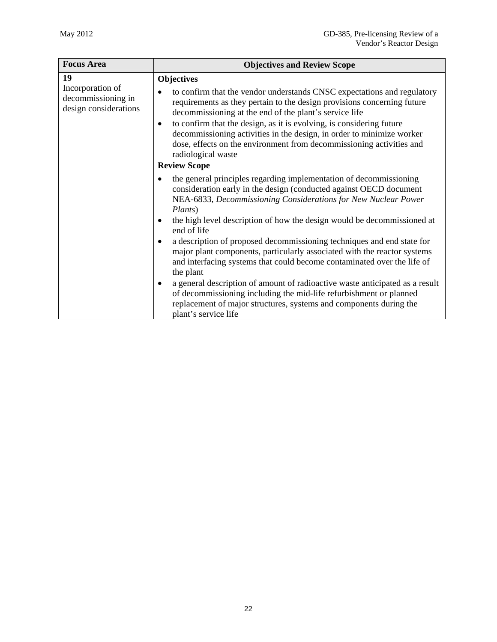| <b>Focus Area</b>                                               | <b>Objectives and Review Scope</b>                                                                                                                                                                                                                                                                                                                                                                                                                                       |
|-----------------------------------------------------------------|--------------------------------------------------------------------------------------------------------------------------------------------------------------------------------------------------------------------------------------------------------------------------------------------------------------------------------------------------------------------------------------------------------------------------------------------------------------------------|
| 19                                                              | Objectives                                                                                                                                                                                                                                                                                                                                                                                                                                                               |
| Incorporation of<br>decommissioning in<br>design considerations | to confirm that the vendor understands CNSC expectations and regulatory<br>requirements as they pertain to the design provisions concerning future<br>decommissioning at the end of the plant's service life<br>to confirm that the design, as it is evolving, is considering future<br>$\bullet$<br>decommissioning activities in the design, in order to minimize worker<br>dose, effects on the environment from decommissioning activities and<br>radiological waste |
|                                                                 | <b>Review Scope</b>                                                                                                                                                                                                                                                                                                                                                                                                                                                      |
|                                                                 | the general principles regarding implementation of decommissioning<br>consideration early in the design (conducted against OECD document<br>NEA-6833, Decommissioning Considerations for New Nuclear Power<br>Plants)                                                                                                                                                                                                                                                    |
|                                                                 | the high level description of how the design would be decommissioned at<br>$\bullet$<br>end of life                                                                                                                                                                                                                                                                                                                                                                      |
|                                                                 | a description of proposed decommissioning techniques and end state for<br>$\bullet$<br>major plant components, particularly associated with the reactor systems<br>and interfacing systems that could become contaminated over the life of<br>the plant                                                                                                                                                                                                                  |
|                                                                 | a general description of amount of radioactive waste anticipated as a result<br>$\bullet$<br>of decommissioning including the mid-life refurbishment or planned<br>replacement of major structures, systems and components during the<br>plant's service life                                                                                                                                                                                                            |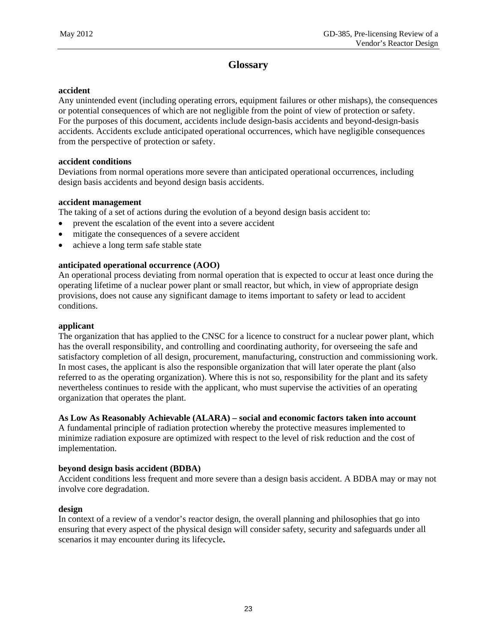# **Glossary**

#### **accident**

Any unintended event (including operating errors, equipment failures or other mishaps), the consequences or potential consequences of which are not negligible from the point of view of protection or safety. For the purposes of this document, accidents include design-basis accidents and beyond-design-basis accidents. Accidents exclude anticipated operational occurrences, which have negligible consequences from the perspective of protection or safety.

#### **accident conditions**

Deviations from normal operations more severe than anticipated operational occurrences, including design basis accidents and beyond design basis accidents.

#### **accident management**

The taking of a set of actions during the evolution of a beyond design basis accident to:

- prevent the escalation of the event into a severe accident
- mitigate the consequences of a severe accident
- achieve a long term safe stable state

## **anticipated operational occurrence (AOO)**

An operational process deviating from normal operation that is expected to occur at least once during the operating lifetime of a nuclear power plant or small reactor, but which, in view of appropriate design provisions, does not cause any significant damage to items important to safety or lead to accident conditions.

## **applicant**

The organization that has applied to the CNSC for a licence to construct for a nuclear power plant, which has the overall responsibility, and controlling and coordinating authority, for overseeing the safe and satisfactory completion of all design, procurement, manufacturing, construction and commissioning work. In most cases, the applicant is also the responsible organization that will later operate the plant (also referred to as the operating organization). Where this is not so, responsibility for the plant and its safety nevertheless continues to reside with the applicant, who must supervise the activities of an operating organization that operates the plant.

## **As Low As Reasonably Achievable (ALARA) – social and economic factors taken into account**

A fundamental principle of radiation protection whereby the protective measures implemented to minimize radiation exposure are optimized with respect to the level of risk reduction and the cost of implementation.

## **beyond design basis accident (BDBA)**

Accident conditions less frequent and more severe than a design basis accident. A BDBA may or may not involve core degradation.

## **design**

In context of a review of a vendor's reactor design, the overall planning and philosophies that go into ensuring that every aspect of the physical design will consider safety, security and safeguards under all scenarios it may encounter during its lifecycle**.**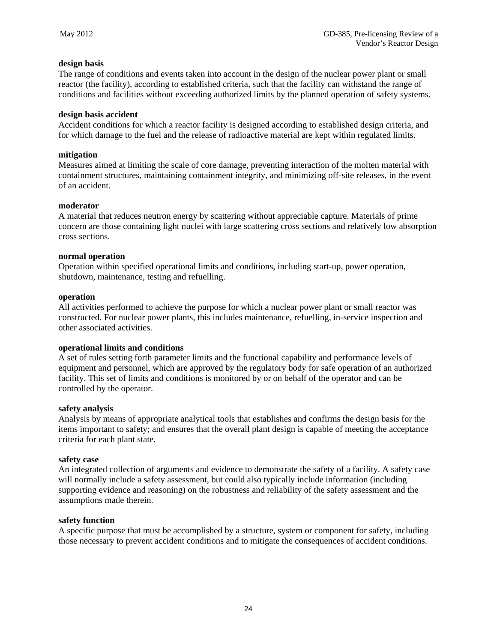#### **design basis**

The range of conditions and events taken into account in the design of the nuclear power plant or small reactor (the facility), according to established criteria, such that the facility can withstand the range of conditions and facilities without exceeding authorized limits by the planned operation of safety systems.

#### **design basis accident**

Accident conditions for which a reactor facility is designed according to established design criteria, and for which damage to the fuel and the release of radioactive material are kept within regulated limits.

#### **mitigation**

Measures aimed at limiting the scale of core damage, preventing interaction of the molten material with containment structures, maintaining containment integrity, and minimizing off-site releases, in the event of an accident.

#### **moderator**

A material that reduces neutron energy by scattering without appreciable capture. Materials of prime concern are those containing light nuclei with large scattering cross sections and relatively low absorption cross sections.

#### **normal operation**

Operation within specified operational limits and conditions, including start-up, power operation, shutdown, maintenance, testing and refuelling.

#### **operation**

All activities performed to achieve the purpose for which a nuclear power plant or small reactor was constructed. For nuclear power plants, this includes maintenance, refuelling, in-service inspection and other associated activities.

#### **operational limits and conditions**

A set of rules setting forth parameter limits and the functional capability and performance levels of equipment and personnel, which are approved by the regulatory body for safe operation of an authorized facility. This set of limits and conditions is monitored by or on behalf of the operator and can be controlled by the operator.

#### **safety analysis**

Analysis by means of appropriate analytical tools that establishes and confirms the design basis for the items important to safety; and ensures that the overall plant design is capable of meeting the acceptance criteria for each plant state.

#### **safety case**

An integrated collection of arguments and evidence to demonstrate the safety of a facility. A safety case will normally include a safety assessment, but could also typically include information (including supporting evidence and reasoning) on the robustness and reliability of the safety assessment and the assumptions made therein.

#### **safety function**

A specific purpose that must be accomplished by a structure, system or component for safety, including those necessary to prevent accident conditions and to mitigate the consequences of accident conditions.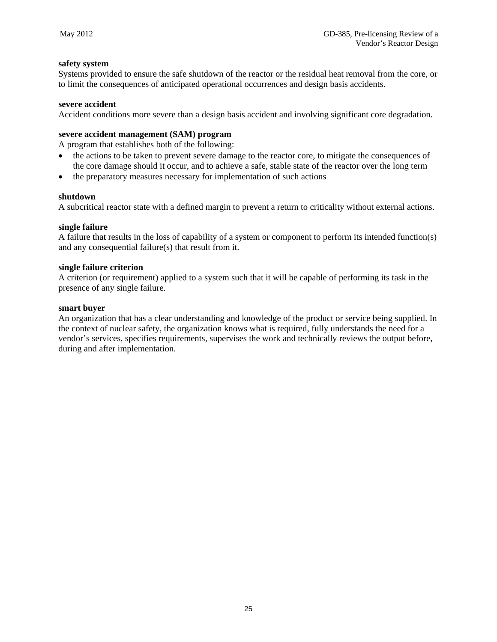#### **safety system**

Systems provided to ensure the safe shutdown of the reactor or the residual heat removal from the core, or to limit the consequences of anticipated operational occurrences and design basis accidents.

#### **severe accident**

Accident conditions more severe than a design basis accident and involving significant core degradation.

#### **severe accident management (SAM) program**

A program that establishes both of the following:

- the actions to be taken to prevent severe damage to the reactor core, to mitigate the consequences of the core damage should it occur, and to achieve a safe, stable state of the reactor over the long term
- the preparatory measures necessary for implementation of such actions

#### **shutdown**

A subcritical reactor state with a defined margin to prevent a return to criticality without external actions.

#### **single failure**

A failure that results in the loss of capability of a system or component to perform its intended function(s) and any consequential failure(s) that result from it.

#### **single failure criterion**

A criterion (or requirement) applied to a system such that it will be capable of performing its task in the presence of any single failure.

#### **smart buyer**

An organization that has a clear understanding and knowledge of the product or service being supplied. In the context of nuclear safety, the organization knows what is required, fully understands the need for a vendor's services, specifies requirements, supervises the work and technically reviews the output before, during and after implementation.